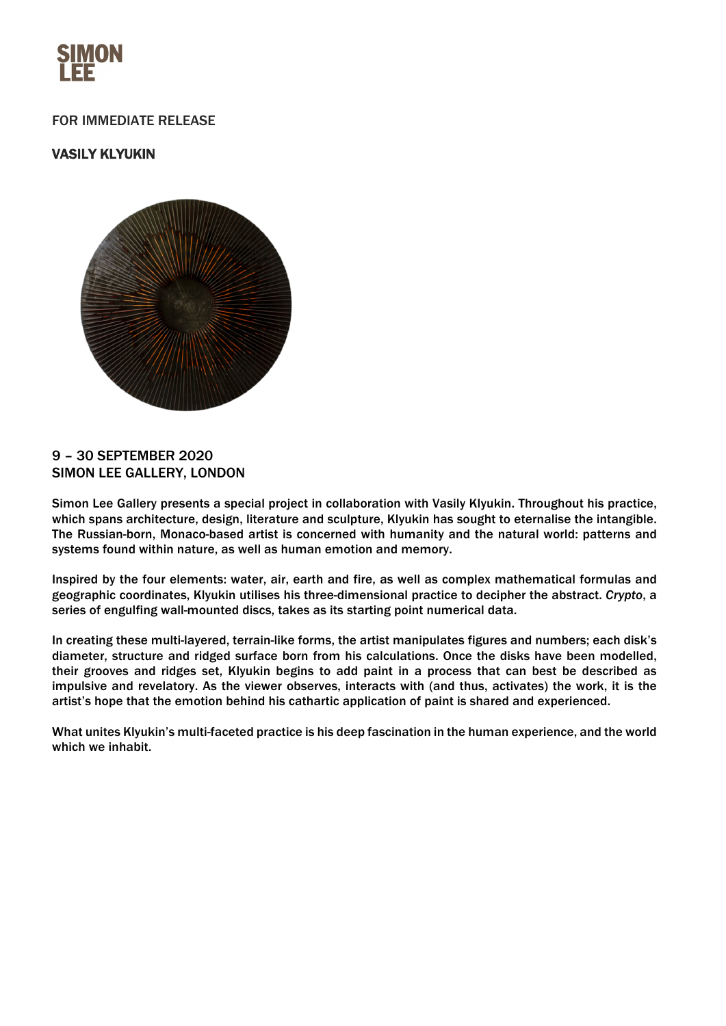

# FOR IMMEDIATE RELEASE

# VASILY KLYUKIN



## 9 – 30 SEPTEMBER 2020 SIMON LEE GALLERY, LONDON

Simon Lee Gallery presents a special project in collaboration with Vasily Klyukin. Throughout his practice, which spans architecture, design, literature and sculpture, Klyukin has sought to eternalise the intangible. The Russian-born, Monaco-based artist is concerned with humanity and the natural world: patterns and systems found within nature, as well as human emotion and memory.

Inspired by the four elements: water, air, earth and fire, as well as complex mathematical formulas and geographic coordinates, Klyukin utilises his three-dimensional practice to decipher the abstract. *Crypto*, a series of engulfing wall-mounted discs, takes as its starting point numerical data.

In creating these multi-layered, terrain-like forms, the artist manipulates figures and numbers; each disk's diameter, structure and ridged surface born from his calculations. Once the disks have been modelled, their grooves and ridges set, Klyukin begins to add paint in a process that can best be described as impulsive and revelatory. As the viewer observes, interacts with (and thus, activates) the work, it is the artist's hope that the emotion behind his cathartic application of paint is shared and experienced.

What unites Klyukin's multi-faceted practice is his deep fascination in the human experience, and the world which we inhabit.